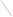